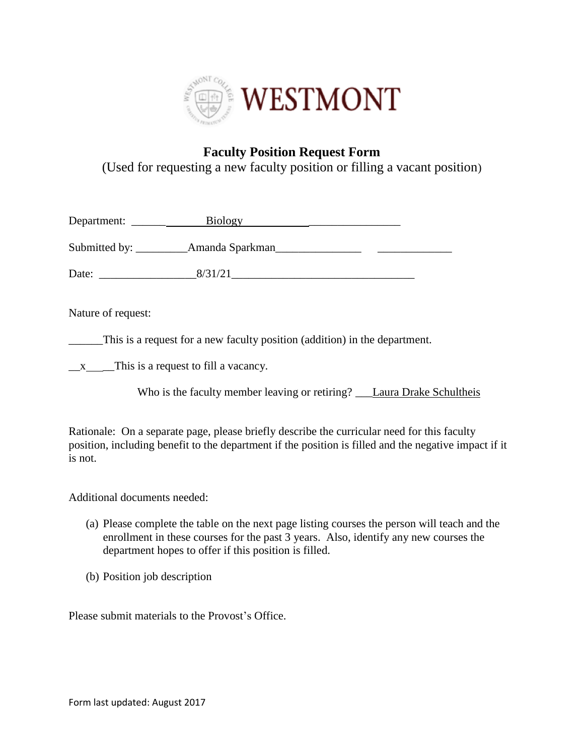

## **Faculty Position Request Form**

(Used for requesting a new faculty position or filling a vacant position)

|                    | Department: Biology Biology                                                                |  |
|--------------------|--------------------------------------------------------------------------------------------|--|
|                    |                                                                                            |  |
|                    |                                                                                            |  |
| Nature of request: |                                                                                            |  |
|                    | This is a request for a new faculty position (addition) in the department.                 |  |
|                    | $\mathbf{x}$ - This is a request to fill a vacancy.                                        |  |
|                    | Who is the faculty member leaving or retiring? ____Laura Drake Schultheis                  |  |
|                    | Detionale: On a separate nego places brigfly describe the curricular need for this foculty |  |

Rationale: On a separate page, please briefly describe the curricular need for this faculty position, including benefit to the department if the position is filled and the negative impact if it is not.

Additional documents needed:

- (a) Please complete the table on the next page listing courses the person will teach and the enrollment in these courses for the past 3 years. Also, identify any new courses the department hopes to offer if this position is filled.
- (b) Position job description

Please submit materials to the Provost's Office.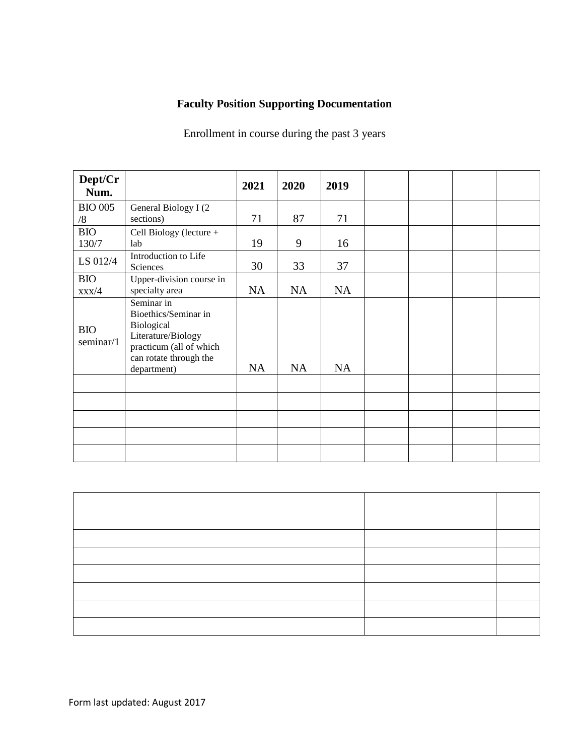# **Faculty Position Supporting Documentation**

Enrollment in course during the past 3 years

| Dept/Cr<br>Num.              |                                                                                                                                            | 2021      | 2020      | 2019      |  |  |
|------------------------------|--------------------------------------------------------------------------------------------------------------------------------------------|-----------|-----------|-----------|--|--|
| <b>BIO 005</b><br>/8         | General Biology I (2<br>sections)                                                                                                          | 71        | 87        | 71        |  |  |
| <b>BIO</b><br>130/7          | Cell Biology (lecture +<br>lab                                                                                                             | 19        | 9         | 16        |  |  |
| LS 012/4                     | Introduction to Life<br>Sciences                                                                                                           | 30        | 33        | 37        |  |  |
| <b>BIO</b><br>$\frac{XX}{4}$ | Upper-division course in<br>specialty area                                                                                                 | <b>NA</b> | <b>NA</b> | <b>NA</b> |  |  |
| <b>BIO</b><br>seminar/1      | Seminar in<br>Bioethics/Seminar in<br>Biological<br>Literature/Biology<br>practicum (all of which<br>can rotate through the<br>department) | <b>NA</b> | <b>NA</b> | <b>NA</b> |  |  |
|                              |                                                                                                                                            |           |           |           |  |  |
|                              |                                                                                                                                            |           |           |           |  |  |
|                              |                                                                                                                                            |           |           |           |  |  |
|                              |                                                                                                                                            |           |           |           |  |  |
|                              |                                                                                                                                            |           |           |           |  |  |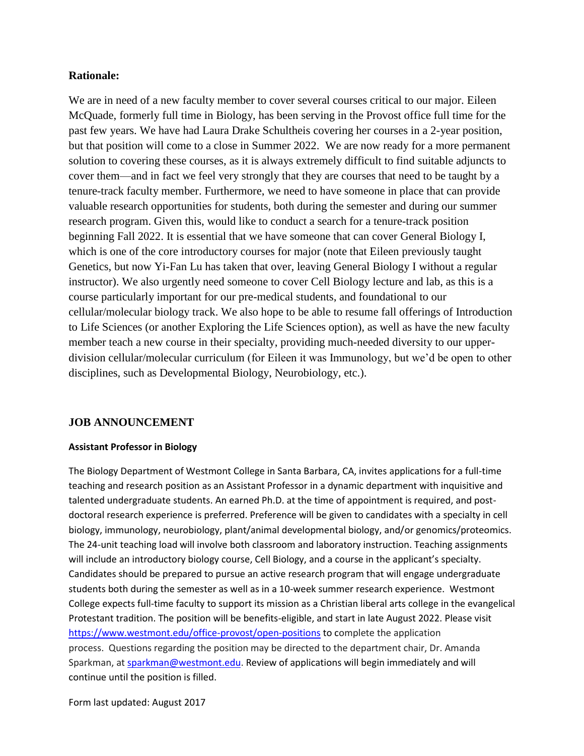### **Rationale:**

We are in need of a new faculty member to cover several courses critical to our major. Eileen McQuade, formerly full time in Biology, has been serving in the Provost office full time for the past few years. We have had Laura Drake Schultheis covering her courses in a 2-year position, but that position will come to a close in Summer 2022. We are now ready for a more permanent solution to covering these courses, as it is always extremely difficult to find suitable adjuncts to cover them—and in fact we feel very strongly that they are courses that need to be taught by a tenure-track faculty member. Furthermore, we need to have someone in place that can provide valuable research opportunities for students, both during the semester and during our summer research program. Given this, would like to conduct a search for a tenure-track position beginning Fall 2022. It is essential that we have someone that can cover General Biology I, which is one of the core introductory courses for major (note that Eileen previously taught Genetics, but now Yi-Fan Lu has taken that over, leaving General Biology I without a regular instructor). We also urgently need someone to cover Cell Biology lecture and lab, as this is a course particularly important for our pre-medical students, and foundational to our cellular/molecular biology track. We also hope to be able to resume fall offerings of Introduction to Life Sciences (or another Exploring the Life Sciences option), as well as have the new faculty member teach a new course in their specialty, providing much-needed diversity to our upperdivision cellular/molecular curriculum (for Eileen it was Immunology, but we'd be open to other disciplines, such as Developmental Biology, Neurobiology, etc.).

### **JOB ANNOUNCEMENT**

#### **Assistant Professor in Biology**

The Biology Department of Westmont College in Santa Barbara, CA, invites applications for a full-time teaching and research position as an Assistant Professor in a dynamic department with inquisitive and talented undergraduate students. An earned Ph.D. at the time of appointment is required, and postdoctoral research experience is preferred. Preference will be given to candidates with a specialty in cell biology, immunology, neurobiology, plant/animal developmental biology, and/or genomics/proteomics. The 24-unit teaching load will involve both classroom and laboratory instruction. Teaching assignments will include an introductory biology course, Cell Biology, and a course in the applicant's specialty. Candidates should be prepared to pursue an active research program that will engage undergraduate students both during the semester as well as in a 10-week summer research experience. Westmont College expects full-time faculty to support its mission as a Christian liberal arts college in the evangelical Protestant tradition. The position will be benefits-eligible, and start in late August 2022. Please visit <https://www.westmont.edu/office-provost/open-positions> to complete the application process. Questions regarding the position may be directed to the department chair, Dr. Amanda Sparkman, a[t sparkman@westmont.edu.](mailto:sparkman@westmont.edu) Review of applications will begin immediately and will continue until the position is filled.

Form last updated: August 2017